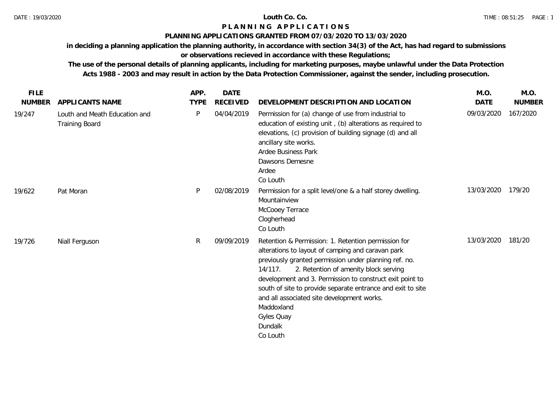## **PLANNING APPLICATIONS GRANTED FROM 07/03/2020 TO 13/03/2020**

**in deciding a planning application the planning authority, in accordance with section 34(3) of the Act, has had regard to submissions** 

# **or observations recieved in accordance with these Regulations;**

| <b>FILE</b>   |                                                        | APP.        | <b>DATE</b>     |                                                                                                                                                                                                                                                                                                                                                                                                                                                   | M.O.        | M.O.          |
|---------------|--------------------------------------------------------|-------------|-----------------|---------------------------------------------------------------------------------------------------------------------------------------------------------------------------------------------------------------------------------------------------------------------------------------------------------------------------------------------------------------------------------------------------------------------------------------------------|-------------|---------------|
| <b>NUMBER</b> | APPLICANTS NAME                                        | <b>TYPE</b> | <b>RECEIVED</b> | DEVELOPMENT DESCRIPTION AND LOCATION                                                                                                                                                                                                                                                                                                                                                                                                              | <b>DATE</b> | <b>NUMBER</b> |
| 19/247        | Louth and Meath Education and<br><b>Training Board</b> | P           | 04/04/2019      | Permission for (a) change of use from industrial to<br>education of existing unit, (b) alterations as required to<br>elevations, (c) provision of building signage (d) and all<br>ancillary site works.<br>Ardee Business Park<br>Dawsons Demesne<br>Ardee<br>Co Louth                                                                                                                                                                            | 09/03/2020  | 167/2020      |
| 19/622        | Pat Moran                                              | P.          | 02/08/2019      | Permission for a split level/one & a half storey dwelling.<br>Mountainview<br>McCooey Terrace<br>Clogherhead<br>Co Louth                                                                                                                                                                                                                                                                                                                          | 13/03/2020  | 179/20        |
| 19/726        | Niall Ferguson                                         | R           | 09/09/2019      | Retention & Permission: 1. Retention permission for<br>alterations to layout of camping and caravan park<br>previously granted permission under planning ref. no.<br>2. Retention of amenity block serving<br>14/117.<br>development and 3. Permission to construct exit point to<br>south of site to provide separate entrance and exit to site<br>and all associated site development works.<br>Maddoxland<br>Gyles Quay<br>Dundalk<br>Co Louth | 13/03/2020  | 181/20        |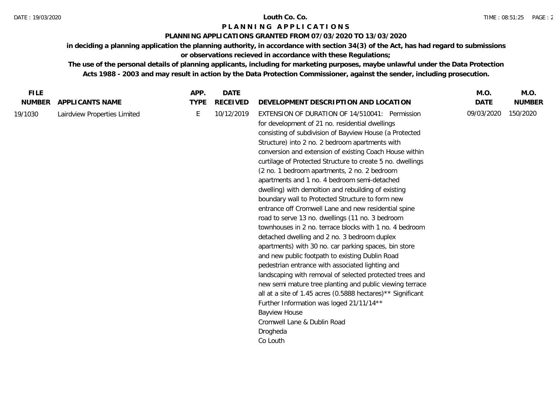### **PLANNING APPLICATIONS GRANTED FROM 07/03/2020 TO 13/03/2020**

**in deciding a planning application the planning authority, in accordance with section 34(3) of the Act, has had regard to submissions or observations recieved in accordance with these Regulations;**

| <b>FILE</b>   |                              | APP.        | <b>DATE</b>     |                                                                                                                                                                                                                                                                                                                                                                                                                                                                                                                                                                                                                                                                                                                                                                                                                                                                                                                                                                                                                                                                                                                                                                                                                                                              | M.O.        | M.O.          |
|---------------|------------------------------|-------------|-----------------|--------------------------------------------------------------------------------------------------------------------------------------------------------------------------------------------------------------------------------------------------------------------------------------------------------------------------------------------------------------------------------------------------------------------------------------------------------------------------------------------------------------------------------------------------------------------------------------------------------------------------------------------------------------------------------------------------------------------------------------------------------------------------------------------------------------------------------------------------------------------------------------------------------------------------------------------------------------------------------------------------------------------------------------------------------------------------------------------------------------------------------------------------------------------------------------------------------------------------------------------------------------|-------------|---------------|
| <b>NUMBER</b> | APPLICANTS NAME              | <b>TYPE</b> | <b>RECEIVED</b> | DEVELOPMENT DESCRIPTION AND LOCATION                                                                                                                                                                                                                                                                                                                                                                                                                                                                                                                                                                                                                                                                                                                                                                                                                                                                                                                                                                                                                                                                                                                                                                                                                         | <b>DATE</b> | <b>NUMBER</b> |
| 19/1030       | Lairdview Properties Limited | E           | 10/12/2019      | EXTENSION OF DURATION OF 14/510041: Permission<br>for development of 21 no. residential dwellings<br>consisting of subdivision of Bayview House (a Protected<br>Structure) into 2 no. 2 bedroom apartments with<br>conversion and extension of existing Coach House within<br>curtilage of Protected Structure to create 5 no. dwellings<br>(2 no. 1 bedroom apartments, 2 no. 2 bedroom<br>apartments and 1 no. 4 bedroom semi-detached<br>dwelling) with demoltion and rebuilding of existing<br>boundary wall to Protected Structure to form new<br>entrance off Cromwell Lane and new residential spine<br>road to serve 13 no. dwellings (11 no. 3 bedroom<br>townhouses in 2 no. terrace blocks with 1 no. 4 bedroom<br>detached dwelling and 2 no. 3 bedroom duplex<br>apartments) with 30 no. car parking spaces, bin store<br>and new public footpath to existing Dublin Road<br>pedestrian entrance with associated lighting and<br>landscaping with removal of selected protected trees and<br>new semi mature tree planting and public viewing terrace<br>all at a site of 1.45 acres (0.5888 hectares)** Significant<br>Further Information was loged 21/11/14**<br><b>Bayview House</b><br>Cromwell Lane & Dublin Road<br>Drogheda<br>Co Louth | 09/03/2020  | 150/2020      |
|               |                              |             |                 |                                                                                                                                                                                                                                                                                                                                                                                                                                                                                                                                                                                                                                                                                                                                                                                                                                                                                                                                                                                                                                                                                                                                                                                                                                                              |             |               |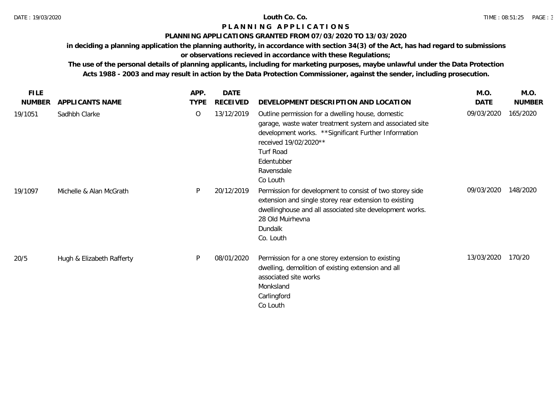## **PLANNING APPLICATIONS GRANTED FROM 07/03/2020 TO 13/03/2020**

**in deciding a planning application the planning authority, in accordance with section 34(3) of the Act, has had regard to submissions** 

# **or observations recieved in accordance with these Regulations;**

| <b>FILE</b>   |                           | APP.           | <b>DATE</b>     |                                                                                                                                                                                                                                                      | M.O.       | M.O.          |
|---------------|---------------------------|----------------|-----------------|------------------------------------------------------------------------------------------------------------------------------------------------------------------------------------------------------------------------------------------------------|------------|---------------|
| <b>NUMBER</b> | APPLICANTS NAME           | <b>TYPE</b>    | <b>RECEIVED</b> | DEVELOPMENT DESCRIPTION AND LOCATION                                                                                                                                                                                                                 | DATE       | <b>NUMBER</b> |
| 19/1051       | Sadhbh Clarke             | $\overline{O}$ | 13/12/2019      | Outline permission for a dwelling house, domestic<br>garage, waste water treatment system and associated site<br>development works. ** Significant Further Information<br>received 19/02/2020**<br>Turf Road<br>Edentubber<br>Ravensdale<br>Co Louth | 09/03/2020 | 165/2020      |
| 19/1097       | Michelle & Alan McGrath   | P              | 20/12/2019      | Permission for development to consist of two storey side<br>extension and single storey rear extension to existing<br>dwellinghouse and all associated site development works.<br>28 Old Muirhevna<br>Dundalk<br>Co. Louth                           | 09/03/2020 | 148/2020      |
| 20/5          | Hugh & Elizabeth Rafferty | P              | 08/01/2020      | Permission for a one storey extension to existing<br>dwelling, demolition of existing extension and all<br>associated site works<br>Monksland<br>Carlingford<br>Co Louth                                                                             | 13/03/2020 | 170/20        |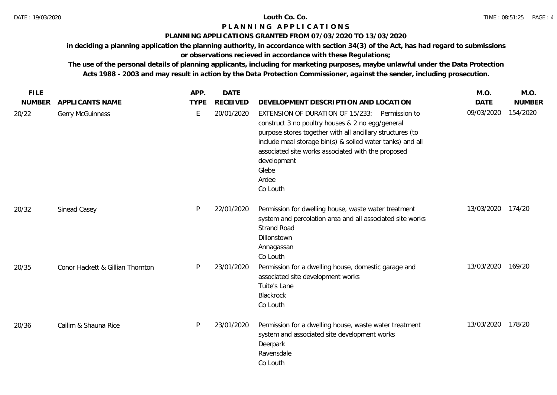## **PLANNING APPLICATIONS GRANTED FROM 07/03/2020 TO 13/03/2020**

**in deciding a planning application the planning authority, in accordance with section 34(3) of the Act, has had regard to submissions** 

# **or observations recieved in accordance with these Regulations;**

| <b>FILE</b>   |                                  | APP.        | <b>DATE</b>     |                                                                                                                                                                                                                                                                                                                                 | M.O.        | M.O.          |
|---------------|----------------------------------|-------------|-----------------|---------------------------------------------------------------------------------------------------------------------------------------------------------------------------------------------------------------------------------------------------------------------------------------------------------------------------------|-------------|---------------|
| <b>NUMBER</b> | APPLICANTS NAME                  | <b>TYPE</b> | <b>RECEIVED</b> | DEVELOPMENT DESCRIPTION AND LOCATION                                                                                                                                                                                                                                                                                            | <b>DATE</b> | <b>NUMBER</b> |
| 20/22         | <b>Gerry McGuinness</b>          | Ε           | 20/01/2020      | EXTENSION OF DURATION OF 15/233: Permission to<br>construct 3 no poultry houses & 2 no egg/general<br>purpose stores together with all ancillary structures (to<br>include meal storage bin(s) & soiled water tanks) and all<br>associated site works associated with the proposed<br>development<br>Glebe<br>Ardee<br>Co Louth | 09/03/2020  | 154/2020      |
| 20/32         | Sinead Casey                     | P           | 22/01/2020      | Permission for dwelling house, waste water treatment<br>system and percolation area and all associated site works<br><b>Strand Road</b><br>Dillonstown<br>Annagassan<br>Co Louth                                                                                                                                                | 13/03/2020  | 174/20        |
| 20/35         | Conor Hackett & Gillian Thornton | P           | 23/01/2020      | Permission for a dwelling house, domestic garage and<br>associated site development works<br>Tuite's Lane<br>Blackrock<br>Co Louth                                                                                                                                                                                              | 13/03/2020  | 169/20        |
| 20/36         | Cailim & Shauna Rice             | P           | 23/01/2020      | Permission for a dwelling house, waste water treatment<br>system and associated site development works<br>Deerpark<br>Ravensdale<br>Co Louth                                                                                                                                                                                    | 13/03/2020  | 178/20        |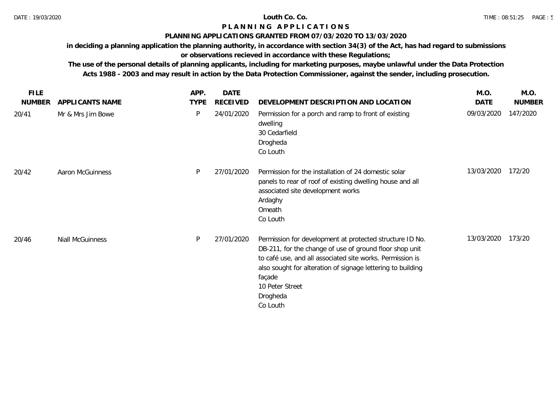## **PLANNING APPLICATIONS GRANTED FROM 07/03/2020 TO 13/03/2020**

**in deciding a planning application the planning authority, in accordance with section 34(3) of the Act, has had regard to submissions** 

# **or observations recieved in accordance with these Regulations;**

| <b>FILE</b>   |                         | APP.        | <b>DATE</b>     |                                                                                                                                                                                                                                                                                                      | M.O.       | M.O.          |
|---------------|-------------------------|-------------|-----------------|------------------------------------------------------------------------------------------------------------------------------------------------------------------------------------------------------------------------------------------------------------------------------------------------------|------------|---------------|
| <b>NUMBER</b> | APPLICANTS NAME         | <b>TYPE</b> | <b>RECEIVED</b> | DEVELOPMENT DESCRIPTION AND LOCATION                                                                                                                                                                                                                                                                 | DATE       | <b>NUMBER</b> |
| 20/41         | Mr & Mrs Jim Bowe       | P           | 24/01/2020      | Permission for a porch and ramp to front of existing<br>dwelling<br>30 Cedarfield<br>Drogheda<br>Co Louth                                                                                                                                                                                            | 09/03/2020 | 147/2020      |
| 20/42         | <b>Aaron McGuinness</b> | P           | 27/01/2020      | Permission for the installation of 24 domestic solar<br>panels to rear of roof of existing dwelling house and all<br>associated site development works<br>Ardaghy<br>Omeath<br>Co Louth                                                                                                              | 13/03/2020 | 172/20        |
| 20/46         | Niall McGuinness        | P           | 27/01/2020      | Permission for development at protected structure ID No.<br>DB-211, for the change of use of ground floor shop unit<br>to café use, and all associated site works. Permission is<br>also sought for alteration of signage lettering to building<br>façade<br>10 Peter Street<br>Drogheda<br>Co Louth | 13/03/2020 | 173/20        |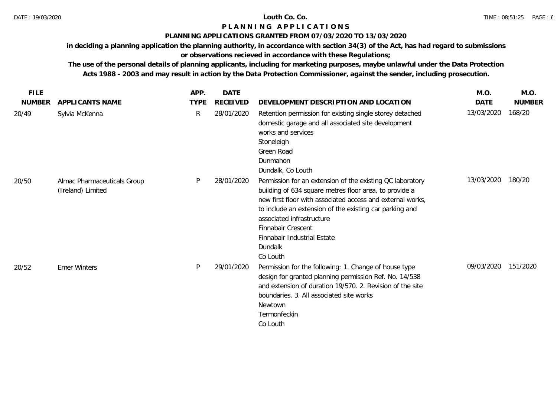## **PLANNING APPLICATIONS GRANTED FROM 07/03/2020 TO 13/03/2020**

**in deciding a planning application the planning authority, in accordance with section 34(3) of the Act, has had regard to submissions** 

# **or observations recieved in accordance with these Regulations;**

| <b>FILE</b>   |                                                  | APP.        | DATE            |                                                                                                                                                                                                                                                                                                                                                       | M.O.        | M.O.          |
|---------------|--------------------------------------------------|-------------|-----------------|-------------------------------------------------------------------------------------------------------------------------------------------------------------------------------------------------------------------------------------------------------------------------------------------------------------------------------------------------------|-------------|---------------|
| <b>NUMBER</b> | APPLICANTS NAME                                  | <b>TYPE</b> | <b>RECEIVED</b> | DEVELOPMENT DESCRIPTION AND LOCATION                                                                                                                                                                                                                                                                                                                  | <b>DATE</b> | <b>NUMBER</b> |
| 20/49         | Sylvia McKenna                                   | R           | 28/01/2020      | Retention permission for existing single storey detached<br>domestic garage and all associated site development<br>works and services<br>Stoneleigh<br>Green Road<br>Dunmahon<br>Dundalk, Co Louth                                                                                                                                                    | 13/03/2020  | 168/20        |
| 20/50         | Almac Pharmaceuticals Group<br>(Ireland) Limited | P           | 28/01/2020      | Permission for an extension of the existing QC laboratory<br>building of 634 square metres floor area, to provide a<br>new first floor with associated access and external works,<br>to include an extension of the existing car parking and<br>associated infrastructure<br>Finnabair Crescent<br>Finnabair Industrial Estate<br>Dundalk<br>Co Louth | 13/03/2020  | 180/20        |
| 20/52         | <b>Emer Winters</b>                              | P           | 29/01/2020      | Permission for the following: 1. Change of house type<br>design for granted planning permission Ref. No. 14/538<br>and extension of duration 19/570, 2. Revision of the site<br>boundaries. 3. All associated site works<br>Newtown<br>Termonfeckin<br>Co Louth                                                                                       | 09/03/2020  | 151/2020      |